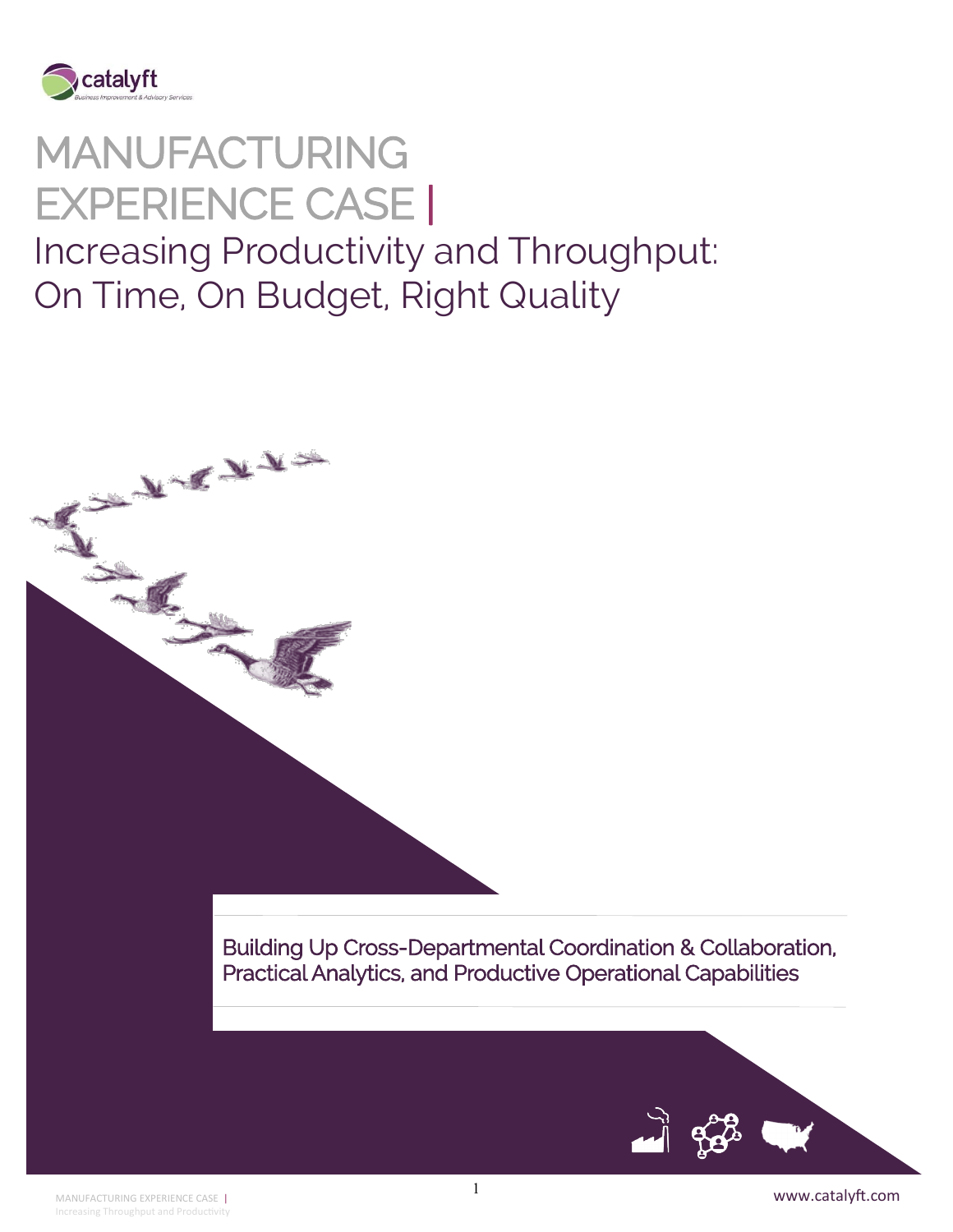

ANTENNE

# MANUFACTURING EXPERIENCE CASE | Increasing Productivity and Throughput: On Time, On Budget, Right Quality

Building Up Cross-Departmental Coordination & Collaboration, Practical Analytics, and Productive Operational Capabilities

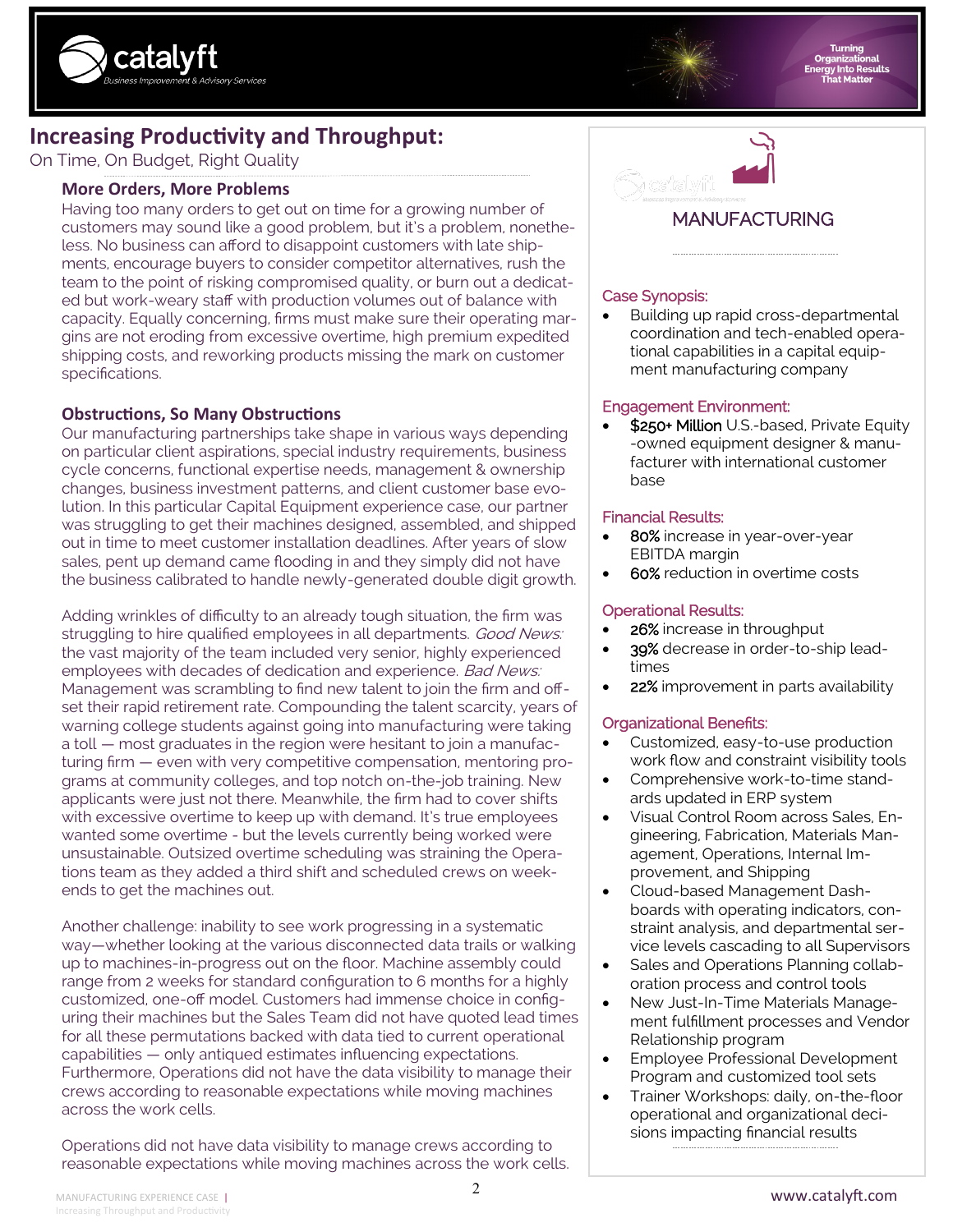



### **Increasing Productivity and Throughput:**

On Time, On Budget, Right Quality

#### **More Orders, More Problems**

Having too many orders to get out on time for a growing number of customers may sound like a good problem, but it's a problem, nonetheless. No business can afford to disappoint customers with late shipments, encourage buyers to consider competitor alternatives, rush the team to the point of risking compromised quality, or burn out a dedicated but work-weary staff with production volumes out of balance with capacity. Equally concerning, firms must make sure their operating margins are not eroding from excessive overtime, high premium expedited shipping costs, and reworking products missing the mark on customer specifications.

#### **Obstructions, So Many Obstructions**

Our manufacturing partnerships take shape in various ways depending on particular client aspirations, special industry requirements, business cycle concerns, functional expertise needs, management & ownership changes, business investment patterns, and client customer base evolution. In this particular Capital Equipment experience case, our partner was struggling to get their machines designed, assembled, and shipped out in time to meet customer installation deadlines. After years of slow sales, pent up demand came flooding in and they simply did not have the business calibrated to handle newly-generated double digit growth.

Adding wrinkles of difficulty to an already tough situation, the firm was struggling to hire qualified employees in all departments. Good News: the vast majority of the team included very senior, highly experienced employees with decades of dedication and experience. Bad News: Management was scrambling to find new talent to join the firm and offset their rapid retirement rate. Compounding the talent scarcity, years of warning college students against going into manufacturing were taking a toll — most graduates in the region were hesitant to join a manufacturing firm — even with very competitive compensation, mentoring programs at community colleges, and top notch on-the-job training. New applicants were just not there. Meanwhile, the firm had to cover shifts with excessive overtime to keep up with demand. It's true employees wanted some overtime - but the levels currently being worked were unsustainable. Outsized overtime scheduling was straining the Operations team as they added a third shift and scheduled crews on weekends to get the machines out.

Another challenge: inability to see work progressing in a systematic way—whether looking at the various disconnected data trails or walking up to machines-in-progress out on the floor. Machine assembly could range from 2 weeks for standard configuration to 6 months for a highly customized, one-off model. Customers had immense choice in configuring their machines but the Sales Team did not have quoted lead times for all these permutations backed with data tied to current operational capabilities — only antiqued estimates influencing expectations. Furthermore, Operations did not have the data visibility to manage their crews according to reasonable expectations while moving machines across the work cells.

Operations did not have data visibility to manage crews according to reasonable expectations while moving machines across the work cells.



### MANUFACTURING

#### Case Synopsis:

• Building up rapid cross-departmental coordination and tech-enabled operational capabilities in a capital equipment manufacturing company

#### Engagement Environment:

\$250+ Million U.S.-based, Private Equity -owned equipment designer & manufacturer with international customer base

#### Financial Results:

- 80% increase in year-over-year EBITDA margin
- 60% reduction in overtime costs

#### Operational Results:

- 26% increase in throughput
- 39% decrease in order-to-ship leadtimes
- 22% improvement in parts availability

#### Organizational Benefits:

- Customized, easy-to-use production work flow and constraint visibility tools
- Comprehensive work-to-time standards updated in ERP system
- Visual Control Room across Sales, Engineering, Fabrication, Materials Management, Operations, Internal Improvement, and Shipping
- Cloud-based Management Dashboards with operating indicators, constraint analysis, and departmental service levels cascading to all Supervisors
- Sales and Operations Planning collaboration process and control tools
- New Just-In-Time Materials Management fulfillment processes and Vendor Relationship program
- Employee Professional Development Program and customized tool sets
- Trainer Workshops: daily, on-the-floor operational and organizational decisions impacting financial results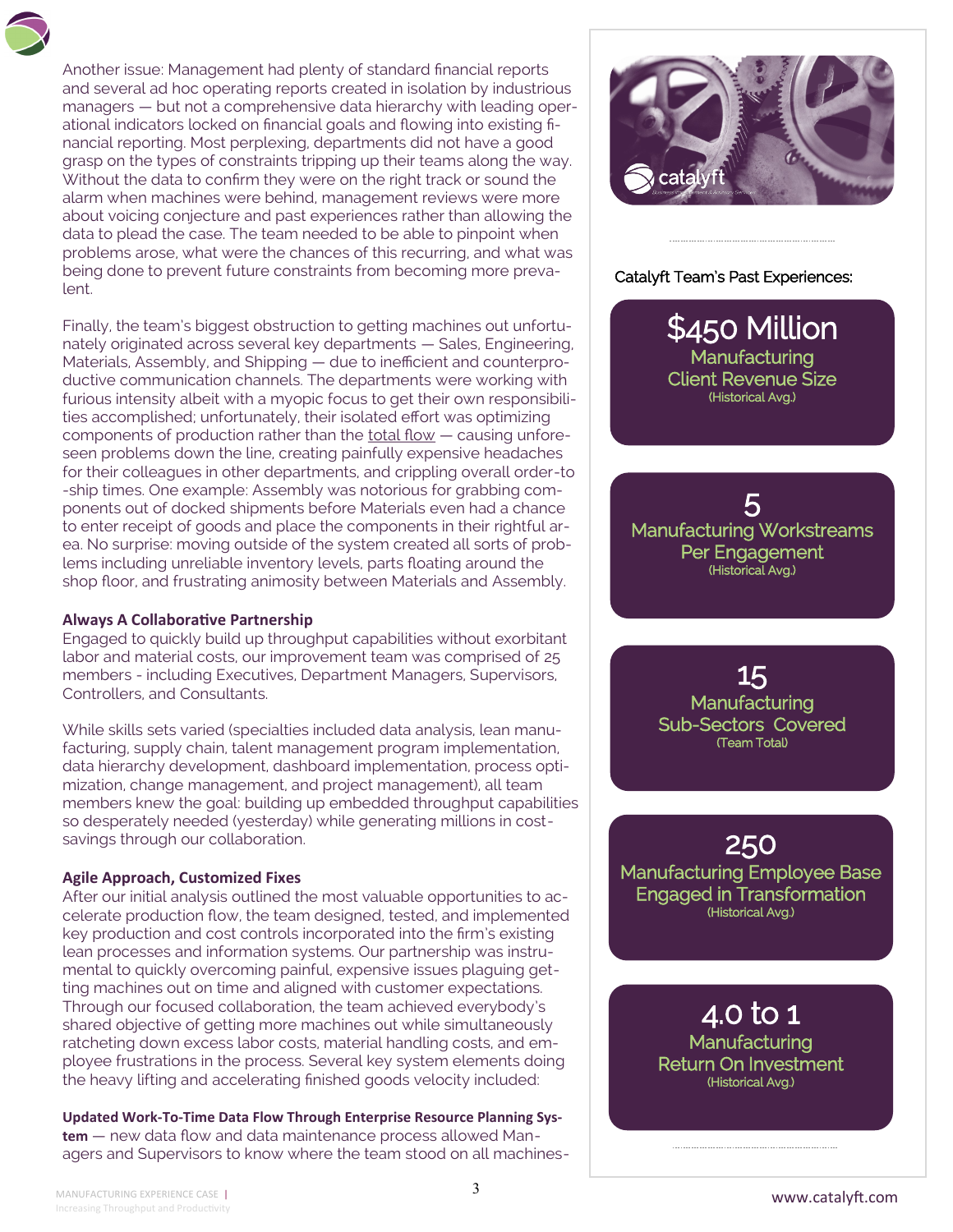Another issue: Management had plenty of standard financial reports and several ad hoc operating reports created in isolation by industrious managers — but not a comprehensive data hierarchy with leading operational indicators locked on financial goals and flowing into existing financial reporting. Most perplexing, departments did not have a good grasp on the types of constraints tripping up their teams along the way. Without the data to confirm they were on the right track or sound the alarm when machines were behind, management reviews were more about voicing conjecture and past experiences rather than allowing the data to plead the case. The team needed to be able to pinpoint when problems arose, what were the chances of this recurring, and what was being done to prevent future constraints from becoming more prevalent.

Finally, the team's biggest obstruction to getting machines out unfortunately originated across several key departments — Sales, Engineering, Materials, Assembly, and Shipping — due to inefficient and counterproductive communication channels. The departments were working with furious intensity albeit with a myopic focus to get their own responsibilities accomplished; unfortunately, their isolated effort was optimizing components of production rather than the total flow - causing unforeseen problems down the line, creating painfully expensive headaches for their colleagues in other departments, and crippling overall order-to -ship times. One example: Assembly was notorious for grabbing components out of docked shipments before Materials even had a chance to enter receipt of goods and place the components in their rightful area. No surprise: moving outside of the system created all sorts of problems including unreliable inventory levels, parts floating around the shop floor, and frustrating animosity between Materials and Assembly.

#### **Always A Collaborative Partnership**

Engaged to quickly build up throughput capabilities without exorbitant labor and material costs, our improvement team was comprised of 25 members - including Executives, Department Managers, Supervisors, Controllers, and Consultants.

While skills sets varied (specialties included data analysis, lean manufacturing, supply chain, talent management program implementation, data hierarchy development, dashboard implementation, process optimization, change management, and project management), all team members knew the goal: building up embedded throughput capabilities so desperately needed (yesterday) while generating millions in costsavings through our collaboration.

#### **Agile Approach, Customized Fixes**

After our initial analysis outlined the most valuable opportunities to accelerate production flow, the team designed, tested, and implemented key production and cost controls incorporated into the firm's existing lean processes and information systems. Our partnership was instrumental to quickly overcoming painful, expensive issues plaguing getting machines out on time and aligned with customer expectations. Through our focused collaboration, the team achieved everybody's shared objective of getting more machines out while simultaneously ratcheting down excess labor costs, material handling costs, and employee frustrations in the process. Several key system elements doing the heavy lifting and accelerating finished goods velocity included:

**Updated Work-To-Time Data Flow Through Enterprise Resource Planning System** — new data flow and data maintenance process allowed Managers and Supervisors to know where the team stood on all machines-



#### Catalyft Team's Past Experiences:

\$450 Million **Manufacturing** Client Revenue Size (Historical Avg.)

5 Manufacturing Workstreams Per Engagement (Historical Avg.)

15 **Manufacturing** Sub-Sectors Covered (Team Total)

250 Manufacturing Employee Base Engaged in Transformation (Historical Avg.)

> 4.0 to 1 **Manufacturing** Return On Investment (Historical Avg.)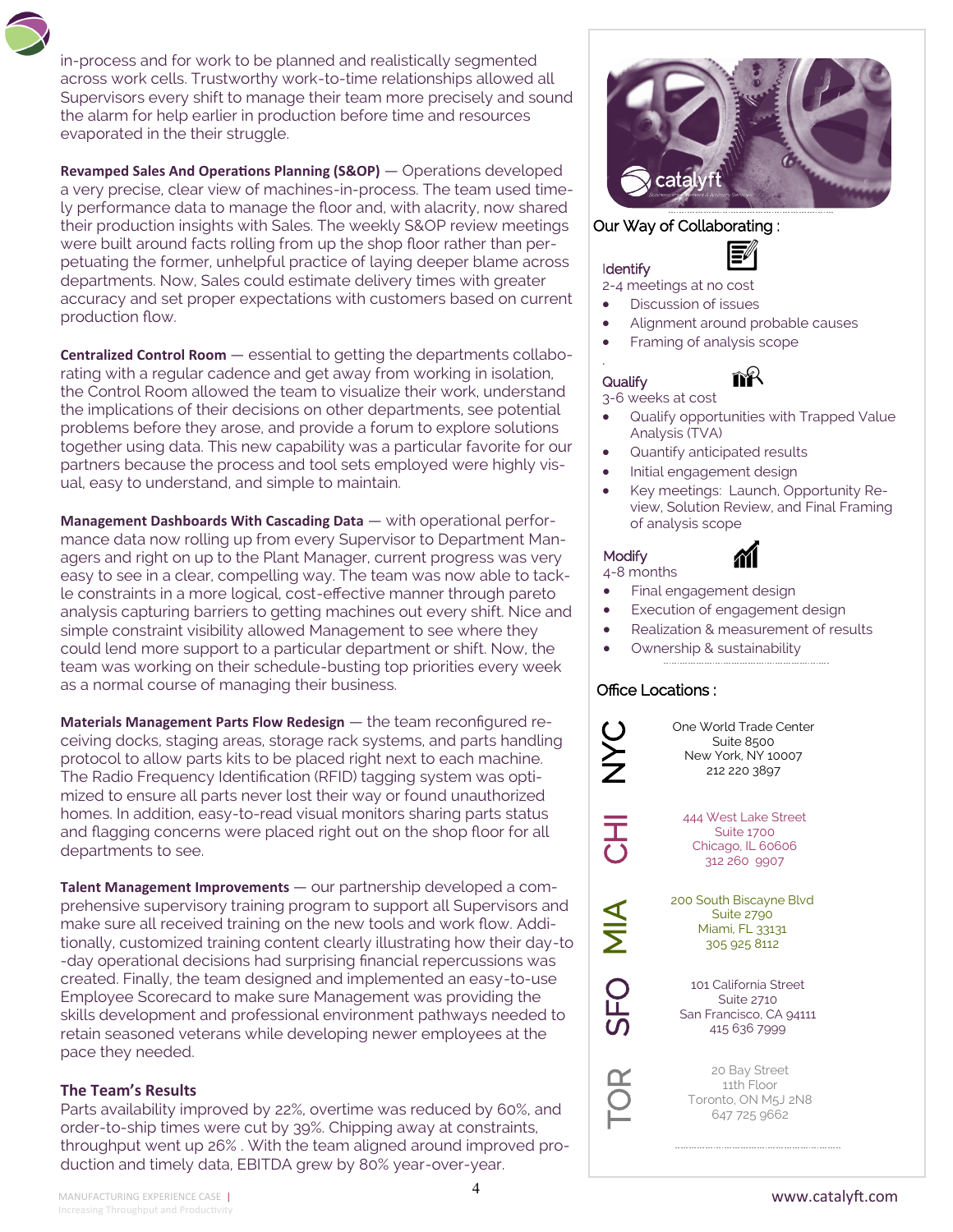in-process and for work to be planned and realistically segmented across work cells. Trustworthy work-to-time relationships allowed all Supervisors every shift to manage their team more precisely and sound the alarm for help earlier in production before time and resources evaporated in the their struggle.

**Revamped Sales And Operations Planning (S&OP)** — Operations developed a very precise, clear view of machines-in-process. The team used timely performance data to manage the floor and, with alacrity, now shared their production insights with Sales. The weekly S&OP review meetings were built around facts rolling from up the shop floor rather than perpetuating the former, unhelpful practice of laying deeper blame across departments. Now, Sales could estimate delivery times with greater accuracy and set proper expectations with customers based on current production flow.

**Centralized Control Room** — essential to getting the departments collaborating with a regular cadence and get away from working in isolation, the Control Room allowed the team to visualize their work, understand the implications of their decisions on other departments, see potential problems before they arose, and provide a forum to explore solutions together using data. This new capability was a particular favorite for our partners because the process and tool sets employed were highly visual, easy to understand, and simple to maintain.

**Management Dashboards With Cascading Data** — with operational performance data now rolling up from every Supervisor to Department Managers and right on up to the Plant Manager, current progress was very easy to see in a clear, compelling way. The team was now able to tackle constraints in a more logical, cost-effective manner through pareto analysis capturing barriers to getting machines out every shift. Nice and simple constraint visibility allowed Management to see where they could lend more support to a particular department or shift. Now, the team was working on their schedule-busting top priorities every week as a normal course of managing their business.

**Materials Management Parts Flow Redesign** — the team reconfigured receiving docks, staging areas, storage rack systems, and parts handling protocol to allow parts kits to be placed right next to each machine. The Radio Frequency Identification (RFID) tagging system was optimized to ensure all parts never lost their way or found unauthorized homes. In addition, easy-to-read visual monitors sharing parts status and flagging concerns were placed right out on the shop floor for all departments to see.

**Talent Management Improvements** — our partnership developed a comprehensive supervisory training program to support all Supervisors and make sure all received training on the new tools and work flow. Additionally, customized training content clearly illustrating how their day-to -day operational decisions had surprising financial repercussions was created. Finally, the team designed and implemented an easy-to-use Employee Scorecard to make sure Management was providing the skills development and professional environment pathways needed to retain seasoned veterans while developing newer employees at the pace they needed.

#### **The Team's Results**

Parts availability improved by 22%, overtime was reduced by 60%, and order-to-ship times were cut by 39%. Chipping away at constraints, throughput went up 26% . With the team aligned around improved production and timely data, EBITDA grew by 80% year-over-year.



#### Our Way of Collaborating :

#### Identify

.

2-4 meetings at no cost

- Discussion of issues
- Alignment around probable causes
- Framing of analysis scope

### **Qualify**

3-6 weeks at cost

- Qualify opportunities with Trapped Value Analysis (TVA)
- Quantify anticipated results
- Initial engagement design
- Key meetings: Launch, Opportunity Review, Solution Review, and Final Framing of analysis scope

#### **Modify**

4-8 months

- Final engagement design
- Execution of engagement design
- Realization & measurement of results
- Ownership & sustainability

#### Office Locations :

C<br>Z

こ<br>こ

 $\frac{\mathbf{1}}{\mathbf{2}}$ 

SFO

TOR

One World Trade Center Suite 8500 New York, NY 10007 212 220 3897

444 West Lake Street Suite 1700 Chicago, IL 60606 312 260 9907

200 South Biscayne Blvd Suite 2790 Miami, FL 33131 305 925 8112

101 California Street Suite 2710 San Francisco, CA 94111 415 636 7999

20 Bay Street 11th Floor Toronto, ON M5J 2N8 647 725 9662